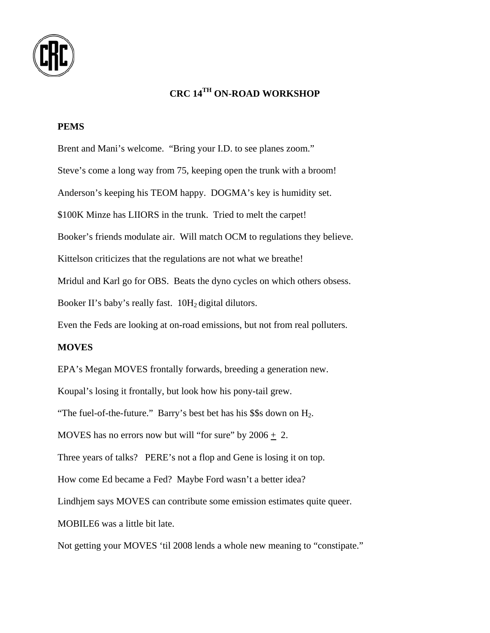

# **CRC 14TH ON-ROAD WORKSHOP**

### **PEMS**

Brent and Mani's welcome. "Bring your I.D. to see planes zoom." Steve's come a long way from 75, keeping open the trunk with a broom! Anderson's keeping his TEOM happy. DOGMA's key is humidity set. \$100K Minze has LIIORS in the trunk. Tried to melt the carpet! Booker's friends modulate air. Will match OCM to regulations they believe. Kittelson criticizes that the regulations are not what we breathe! Mridul and Karl go for OBS. Beats the dyno cycles on which others obsess. Booker II's baby's really fast. 10H<sub>2</sub> digital dilutors. Even the Feds are looking at on-road emissions, but not from real polluters. **MOVES**  EPA's Megan MOVES frontally forwards, breeding a generation new. Koupal's losing it frontally, but look how his pony-tail grew. "The fuel-of-the-future." Barry's best bet has his  $$$ \$s down on  $H_2$ . MOVES has no errors now but will "for sure" by  $2006 + 2$ . Three years of talks? PERE's not a flop and Gene is losing it on top. How come Ed became a Fed? Maybe Ford wasn't a better idea? Lindhjem says MOVES can contribute some emission estimates quite queer. MOBILE6 was a little bit late. Not getting your MOVES 'til 2008 lends a whole new meaning to "constipate."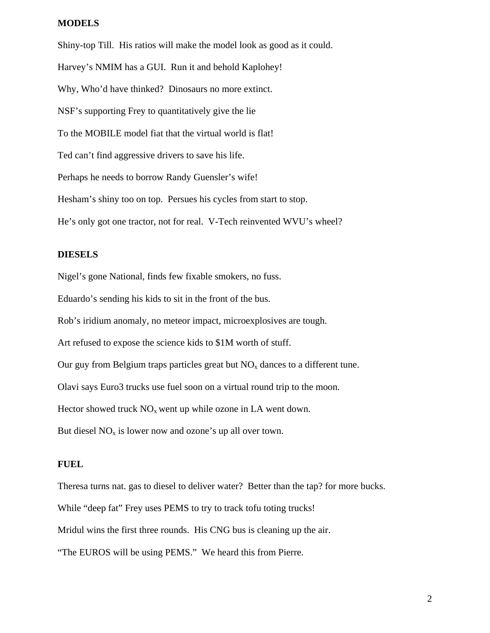### **MODELS**

Shiny-top Till. His ratios will make the model look as good as it could. Harvey's NMIM has a GUI. Run it and behold Kaplohey! Why, Who'd have thinked? Dinosaurs no more extinct. NSF's supporting Frey to quantitatively give the lie To the MOBILE model fiat that the virtual world is flat! Ted can't find aggressive drivers to save his life. Perhaps he needs to borrow Randy Guensler's wife! Hesham's shiny too on top. Persues his cycles from start to stop. He's only got one tractor, not for real. V-Tech reinvented WVU's wheel?

#### **DIESELS**

Nigel's gone National, finds few fixable smokers, no fuss.

Eduardo's sending his kids to sit in the front of the bus.

Rob's iridium anomaly, no meteor impact, microexplosives are tough.

Art refused to expose the science kids to \$1M worth of stuff.

Our guy from Belgium traps particles great but  $NO<sub>x</sub>$  dances to a different tune.

Olavi says Euro3 trucks use fuel soon on a virtual round trip to the moon.

Hector showed truck  $NO<sub>x</sub>$  went up while ozone in LA went down.

But diesel  $NO<sub>x</sub>$  is lower now and ozone's up all over town.

#### **FUEL**

Theresa turns nat. gas to diesel to deliver water? Better than the tap? for more bucks. While "deep fat" Frey uses PEMS to try to track tofu toting trucks! Mridul wins the first three rounds. His CNG bus is cleaning up the air. "The EUROS will be using PEMS." We heard this from Pierre.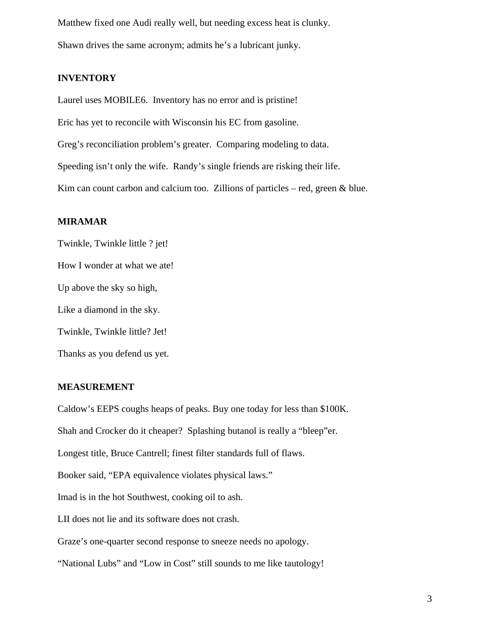Matthew fixed one Audi really well, but needing excess heat is clunky. Shawn drives the same acronym; admits he's a lubricant junky.

### **INVENTORY**

Laurel uses MOBILE6. Inventory has no error and is pristine! Eric has yet to reconcile with Wisconsin his EC from gasoline. Greg's reconciliation problem's greater. Comparing modeling to data. Speeding isn't only the wife. Randy's single friends are risking their life. Kim can count carbon and calcium too. Zillions of particles – red, green  $\&$  blue.

#### **MIRAMAR**

Twinkle, Twinkle little ? jet! How I wonder at what we ate! Up above the sky so high, Like a diamond in the sky. Twinkle, Twinkle little? Jet! Thanks as you defend us yet.

# **MEASUREMENT**

Caldow's EEPS coughs heaps of peaks. Buy one today for less than \$100K. Shah and Crocker do it cheaper? Splashing butanol is really a "bleep"er. Longest title, Bruce Cantrell; finest filter standards full of flaws. Booker said, "EPA equivalence violates physical laws." Imad is in the hot Southwest, cooking oil to ash. LII does not lie and its software does not crash. Graze's one-quarter second response to sneeze needs no apology. "National Lubs" and "Low in Cost" still sounds to me like tautology!